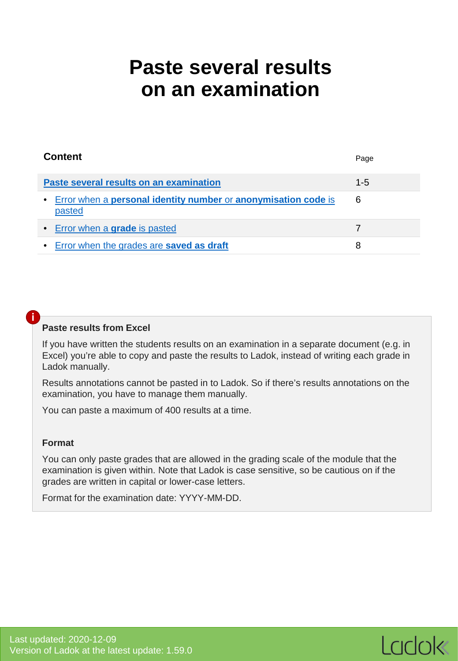# <span id="page-0-0"></span>**Paste several results on an examination**

| <b>Content</b>                                                                           | Page    |
|------------------------------------------------------------------------------------------|---------|
| Paste several results on an examination                                                  | $1 - 5$ |
| • Error when a <b>personal identity number</b> or <b>anonymisation code</b> is<br>pasted | 6       |
| • Error when a <b>grade</b> is pasted                                                    |         |
| • Error when the grades are saved as draft                                               | 8       |

#### **Paste results from Excel**

If you have written the students results on an examination in a separate document (e.g. in Excel) you're able to copy and paste the results to Ladok, instead of writing each grade in Ladok manually.

Results annotations cannot be pasted in to Ladok. So if there's results annotations on the examination, you have to manage them manually.

You can paste a maximum of 400 results at a time.

#### **Format**

**i**

You can only paste grades that are allowed in the grading scale of the module that the examination is given within. Note that Ladok is case sensitive, so be cautious on if the grades are written in capital or lower-case letters.

Format for the examination date: YYYY-MM-DD.

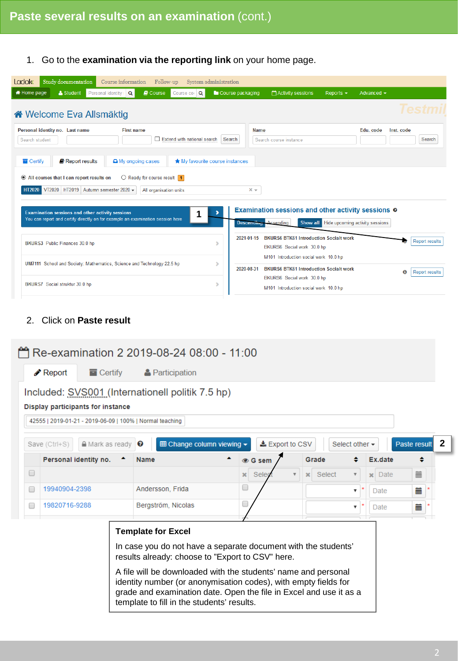# 1. Go to the **examination via the reporting link** on your home page.

| <b>Ladok</b><br><b>Study documentation</b><br>Course information<br>Follow-up                                                                                       | System administration                                                                                                                   |                            |
|---------------------------------------------------------------------------------------------------------------------------------------------------------------------|-----------------------------------------------------------------------------------------------------------------------------------------|----------------------------|
| <b>*</b> Home page<br>& Student<br>Personal identity<br><b>D</b> Course<br>Course cor                                                                               | Course packaging<br>Activity sessions<br>Reports $\sim$<br>Advanced $\sim$                                                              |                            |
| ite Welcome Eva Allsmäktig                                                                                                                                          |                                                                                                                                         |                            |
| Personal identity no. Last name<br><b>First name</b><br>Extend with national search<br>Search student                                                               | <b>Name</b><br>Edu. code<br>Inst. code<br>Search<br>Search course instance                                                              | <b>Search</b>              |
| Report results<br>A My ongoing cases<br><b>Tal</b> Certify                                                                                                          | ★ My favourite course instances                                                                                                         |                            |
| $\bigcirc$ Ready for course result 1<br>All courses that I can report results on<br>VT2020 HT2019 Autumn semester 2020 -<br><b>HT2020</b><br>All organisation units | $x -$                                                                                                                                   |                            |
| Examination sessions and other activity sessions<br>1<br>You can report and certify directly on for example an examination session here                             | <b>Examination sessions and other activity sessions @</b><br>Hide upcoming activity sessions<br><b>Descending Acsending</b><br>Show all |                            |
| BKURS3 Public Finances 30.0 hp                                                                                                                                      | <b>BKURS6 BTK61 Introduction Socialt work</b><br>2021-01-15<br>s<br>BKURS6 Social work 30.0 hp<br>M101 Introduction social work 10.0 hp | <b>Report results</b>      |
| UM7111 School and Society: Mathematics, Science and Technology 22.5 hp                                                                                              | <b>BKURS6 BTK61 Introduction Socialt work</b><br>2020-08-31                                                                             | ➊<br><b>Report results</b> |
| BKURS7 Social struktur 30.0 hp                                                                                                                                      | BKURS6 Social work 30.0 hp<br>s<br>M101 Introduction social work 10.0 hp                                                                |                            |

# 2. Click on **Paste result**

|   |                                   |                        | Re-examination 2 2019-08-24 08:00 - 11:00                                                                                                                                                                                                             |              |       |                         |                        |                           |                        |              |  |
|---|-----------------------------------|------------------------|-------------------------------------------------------------------------------------------------------------------------------------------------------------------------------------------------------------------------------------------------------|--------------|-------|-------------------------|------------------------|---------------------------|------------------------|--------------|--|
|   | $\triangle$ Report                | $\blacksquare$ Certify | <b>A</b> Participation                                                                                                                                                                                                                                |              |       |                         |                        |                           |                        |              |  |
|   | Display participants for instance |                        | Included: SVS001 (Internationell politik 7.5 hp)                                                                                                                                                                                                      |              |       |                         |                        |                           |                        |              |  |
|   |                                   |                        | 42555   2019-01-21 - 2019-06-09   100%   Normal teaching                                                                                                                                                                                              |              |       |                         |                        |                           |                        |              |  |
|   | Save (Ctrl+S)                     | <b>≙</b> Mark as ready | <b>EE Change column viewing ▼</b><br>❸                                                                                                                                                                                                                |              |       | LExport to CSV          |                        | Select other $\star$      |                        | Paste result |  |
|   |                                   | Personal identity no.  | <b>Name</b>                                                                                                                                                                                                                                           |              |       |                         | Grade                  |                           | Ex.date                | ٠            |  |
| O |                                   |                        |                                                                                                                                                                                                                                                       | $\mathbf{x}$ | Seleo | $\overline{\mathbf{v}}$ | Select<br>$\mathbf{x}$ | $\overline{\mathbf{v}}$   | $\mathbf{\times}$ Date | 盖            |  |
|   | 19940904-2398                     |                        | Andersson, Frida                                                                                                                                                                                                                                      | u            |       |                         |                        | ▼                         | <b>Date</b>            | 藟            |  |
| □ | 19820716-9288                     |                        | Bergström, Nicolas                                                                                                                                                                                                                                    |              |       |                         |                        | $\boldsymbol{\mathrm{v}}$ | Date                   | 藟            |  |
|   |                                   |                        | <b>Template for Excel</b>                                                                                                                                                                                                                             |              |       |                         |                        |                           |                        |              |  |
|   |                                   |                        | In case you do not have a separate document with the students'<br>results already: choose to "Export to CSV" here.                                                                                                                                    |              |       |                         |                        |                           |                        |              |  |
|   |                                   |                        | A file will be downloaded with the students' name and personal<br>identity number (or anonymisation codes), with empty fields for<br>grade and examination date. Open the file in Excel and use it as a<br>template to fill in the students' results. |              |       |                         |                        |                           |                        |              |  |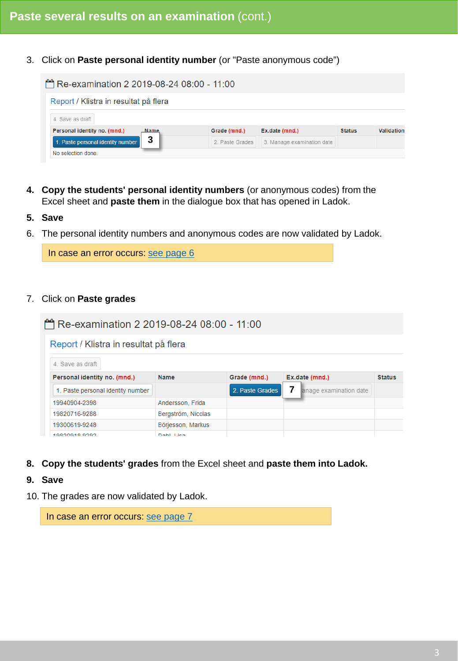3. Click on **Paste personal identity number** (or "Paste anonymous code")

| Re-examination 2 2019-08-24 08:00 - 11:00 |             |                 |                            |               |            |
|-------------------------------------------|-------------|-----------------|----------------------------|---------------|------------|
| Report / Klistra in resultat på flera     |             |                 |                            |               |            |
| 4. Save as draft                          |             |                 |                            |               |            |
| Personal identity no. (mnd.)              | <b>Name</b> | Grade (mnd.)    | Ex.date (mnd.)             | <b>Status</b> | Validation |
| 1. Paste personal identity number         | 3           | 2. Paste Grades | 3. Manage examination date |               |            |
| No selection done                         |             |                 |                            |               |            |

- **4. Copy the students' personal identity numbers** (or anonymous codes) from the Excel sheet and **paste them** in the dialogue box that has opened in Ladok.
- **5. Save**
- 6. The personal identity numbers and anonymous codes are now validated by Ladok.

In case an error occurs: [see page 6](#page-5-0)

#### 7. Click on **Paste grades**

| Re-examination 2 2019-08-24 08:00 - 11:00 |                    |                 |                        |               |
|-------------------------------------------|--------------------|-----------------|------------------------|---------------|
| Report / Klistra in resultat på flera     |                    |                 |                        |               |
| 4. Save as draft                          |                    |                 |                        |               |
| Personal identity no. (mnd.)              | <b>Name</b>        | Grade (mnd.)    | Ex.date (mnd.)         | <b>Status</b> |
| 1. Paste personal identity number         |                    | 2. Paste Grades | anage examination date |               |
| 19940904-2398                             | Andersson, Frida   |                 |                        |               |
| 19820716-9288                             | Bergström, Nicolas |                 |                        |               |
| 19300619-9248                             | Börjesson, Markus  |                 |                        |               |
| 1082048.8292                              | Dahl Liea          |                 |                        |               |

**8. Copy the students' grades** from the Excel sheet and **paste them into Ladok.**

#### **9. Save**

10. The grades are now validated by Ladok.

In case an error occurs: [see page 7](#page-6-0)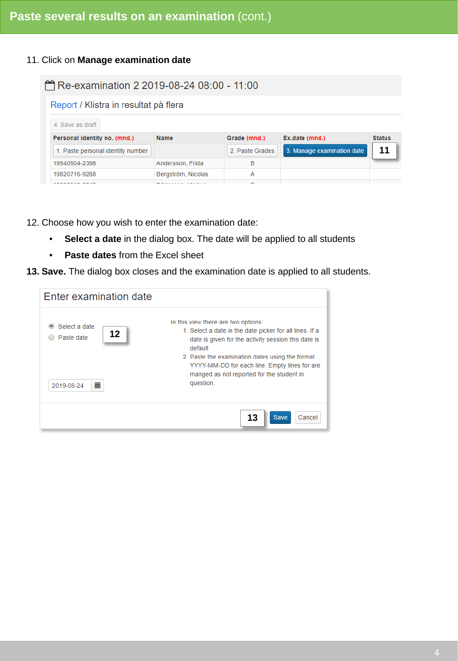11. Click on **Manage examination date**

| Re-examination 2 2019-08-24 08:00 - 11:00 |                    |                 |                            |               |
|-------------------------------------------|--------------------|-----------------|----------------------------|---------------|
| Report / Klistra in resultat på flera     |                    |                 |                            |               |
| 4. Save as draft                          |                    |                 |                            |               |
| Personal identity no. (mnd.)              | <b>Name</b>        | Grade (mnd.)    | Ex.date (mnd.)             | <b>Status</b> |
| 1. Paste personal identity number         |                    | 2. Paste Grades | 3. Manage examination date | 11            |
| 19940904-2398                             | Andersson, Frida   | в               |                            |               |
| 19820716-9288                             | Bergström, Nicolas | А               |                            |               |
|                                           |                    |                 |                            |               |

12. Choose how you wish to enter the examination date:

- **Select a date** in the dialog box. The date will be applied to all students
- **Paste dates** from the Excel sheet

**13. Save.** The dialog box closes and the examination date is applied to all students.

| Enter examination date                               |                                                                                                                                                                                                                                                                                                                                |
|------------------------------------------------------|--------------------------------------------------------------------------------------------------------------------------------------------------------------------------------------------------------------------------------------------------------------------------------------------------------------------------------|
| Select a date<br>12<br>Paste date<br>萹<br>2019-08-24 | In this view there are two options:<br>1. Select a date in the date picker for all lines. If a<br>date is given for the activity session this date is<br>default<br>2. Paste the examination dates using the format<br>YYYY-MM-DD for each line. Empty lines for are<br>manged as not reported for the student in<br>question. |
|                                                      | <b>Save</b><br>Cancel<br>13                                                                                                                                                                                                                                                                                                    |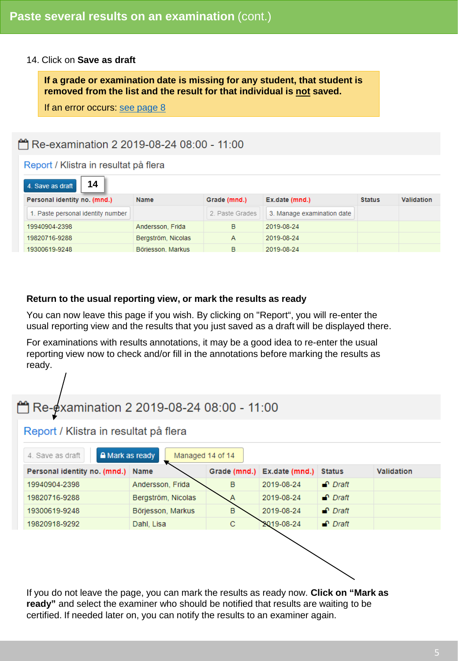#### 14. Click on **Save as draft**

**If a grade or examination date is missing for any student, that student is removed from the list and the result for that individual is not saved.**

If an error occurs [see page 8](#page-7-0)

#### Re-examination 2 2019-08-24 08:00 - 11:00

#### Report / Klistra in resultat på flera

| 14<br>4. Save as draft            |                    |                 |                            |               |                   |
|-----------------------------------|--------------------|-----------------|----------------------------|---------------|-------------------|
| Personal identity no. (mnd.)      | <b>Name</b>        | Grade (mnd.)    | Ex.date (mnd.)             | <b>Status</b> | <b>Validation</b> |
| 1. Paste personal identity number |                    | 2. Paste Grades | 3. Manage examination date |               |                   |
| 19940904-2398                     | Andersson, Frida   | в               | 2019-08-24                 |               |                   |
| 19820716-9288                     | Bergström, Nicolas | А               | 2019-08-24                 |               |                   |
| 19300619-9248                     | Börjesson, Markus  | в               | 2019-08-24                 |               |                   |

#### **Return to the usual reporting view, or mark the results as ready**

You can now leave this page if you wish. By clicking on "Report", you will re-enter the usual reporting view and the results that you just saved as a draft will be displayed there.

For examinations with results annotations, it may be a good idea to re-enter the usual reporting view now to check and/or fill in the annotations before marking the results as ready.

# Re-examination 2 2019-08-24 08:00 - 11:00

#### Report / Klistra in resultat på flera

| A Mark as ready<br>4. Save as draft | Managed 14 of 14   |   |                                    |                 |                   |
|-------------------------------------|--------------------|---|------------------------------------|-----------------|-------------------|
| Personal identity no. (mnd.) Name   |                    |   | Grade (mnd.) Ex.date (mnd.) Status |                 | <b>Validation</b> |
| 19940904-2398                       | Andersson, Frida   | B | 2019-08-24                         | $\bigcap$ Draft |                   |
| 19820716-9288                       | Bergström, Nicolas | Α | 2019-08-24                         | $\bigcap$ Draft |                   |
| 19300619-9248                       | Börjesson, Markus  | B | 2019-08-24                         | $\bigcap$ Draft |                   |
| 19820918-9292                       | Dahl, Lisa         | C | 2019-08-24                         | $\bullet$ Draft |                   |
|                                     |                    |   |                                    |                 |                   |
|                                     |                    |   |                                    |                 |                   |
|                                     |                    |   |                                    |                 |                   |

If you do not leave the page, you can mark the results as ready now. **Click on "Mark as ready"** and select the examiner who should be notified that results are waiting to be certified. If needed later on, you can notify the results to an examiner again.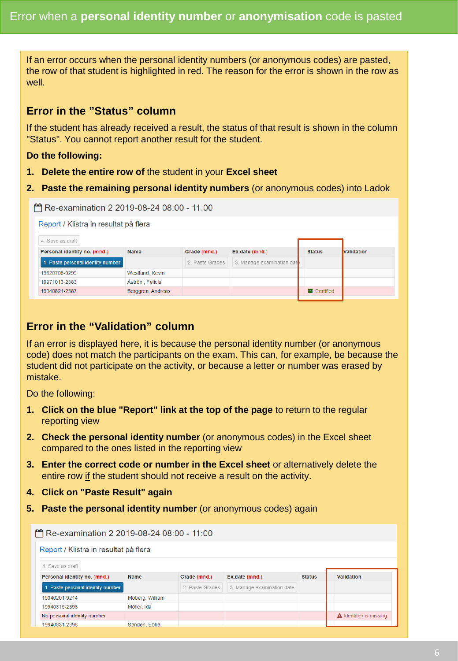<span id="page-5-0"></span>If an error occurs when the personal identity numbers (or anonymous codes) are pasted, the row of that student is highlighted in red. The reason for the error is shown in the row as well.

### **Error in the "Status" column**

If the student has already received a result, the status of that result is shown in the column "Status". You cannot report another result for the student.

#### **Do the following:**

- **1. Delete the entire row of** the student in your **Excel sheet**
- **2. Paste the remaining personal identity numbers** (or anonymous codes) into Ladok

| Re-examination 2 2019-08-24 08:00 - 11:00 |                        |                 |                            |                          |                   |
|-------------------------------------------|------------------------|-----------------|----------------------------|--------------------------|-------------------|
| Report / Klistra in resultat på flera     |                        |                 |                            |                          |                   |
| 4. Save as draft                          |                        |                 |                            |                          |                   |
| Personal identity no. (mnd.)              | <b>Name</b>            | Grade (mnd.)    | Ex.date (mnd.)             | <b>Status</b>            | <b>Validation</b> |
| 1. Paste personal identity number         |                        | 2. Paste Grades | 3. Manage examination date |                          |                   |
| 19820705-9299                             | Westlund, Kevin        |                 |                            |                          |                   |
| 19971013-2383                             | <b>Aström, Felicia</b> |                 |                            |                          |                   |
| 19940824-2387                             | Berggren, Andreas      |                 |                            | $\blacksquare$ Certified |                   |

# **Error in the "Validation" column**

If an error is displayed here, it is because the personal identity number (or anonymous code) does not match the participants on the exam. This can, for example, be because the student did not participate on the activity, or because a letter or number was erased by mistake.

Do the following:

- **1. Click on the blue "Report" link at the top of the page** to return to the regular reporting view
- **2. Check the personal identity number** (or anonymous codes) in the Excel sheet compared to the ones listed in the reporting view
- **3. Enter the correct code or number in the Excel sheet** or alternatively delete the entire row if the student should not receive a result on the activity.
- **4. Click on "Paste Result" again**
- **5. Paste the personal identity number** (or anonymous codes) again

|                                       |                 | Re-examination 2 2019-08-24 08:00 - 11:00 |                            |               |                                |
|---------------------------------------|-----------------|-------------------------------------------|----------------------------|---------------|--------------------------------|
| Report / Klistra in resultat på flera |                 |                                           |                            |               |                                |
| 4. Save as draft                      |                 |                                           |                            |               |                                |
| Personal identity no. (mnd.)          | <b>Name</b>     | Grade (mnd.)                              | Ex.date (mnd.)             | <b>Status</b> | Validation                     |
| 1. Paste personal identity number     |                 | 2. Paste Grades                           | 3. Manage examination date |               |                                |
| 19340201-9214                         | Moberg, William |                                           |                            |               |                                |
| 19940815-2396                         | Möller, Ida     |                                           |                            |               |                                |
| No personal identity number           |                 |                                           |                            |               | <b>A</b> Identifier is missing |
| 19940831-2396                         | Sandén, Ebba    |                                           |                            |               |                                |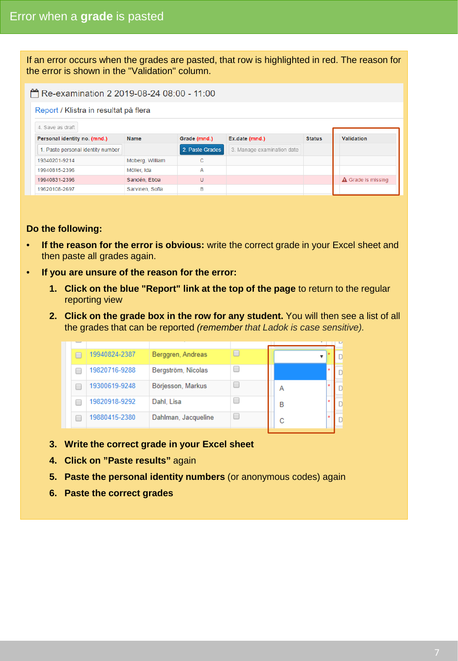<span id="page-6-0"></span>If an error occurs when the grades are pasted, that row is highlighted in red. The reason for the error is shown in the "Validation" column.

#### Report / Klistra in resultat på flera

| 4. Save as draft                  |                 |                 |                            |               |                           |
|-----------------------------------|-----------------|-----------------|----------------------------|---------------|---------------------------|
| Personal identity no. (mnd.)      | Name            | Grade (mnd.)    | Ex.date (mnd.)             | <b>Status</b> | <b>Validation</b>         |
| 1. Paste personal identity number |                 | 2. Paste Grades | 3. Manage examination date |               |                           |
| 19340201-9214                     | Moberg, William | с               |                            |               |                           |
| 19940815-2396                     | Möller, Ida     | Α               |                            |               |                           |
| 19940831-2396                     | Sandén, Ebba    | U               |                            |               | <b>A</b> Grade is missing |
| 19620108-2697                     | Sarvinen, Sofia | в               |                            |               |                           |

#### **Do the following:**

- **If the reason for the error is obvious:** write the correct grade in your Excel sheet and then paste all grades again.
- **If you are unsure of the reason for the error:** 
	- **1. Click on the blue "Report" link at the top of the page** to return to the regular reporting view
	- **2. Click on the grade box in the row for any student.** You will then see a list of all the grades that can be reported *(remember that Ladok is case sensitive).*

| 19940824-2387<br>Berggren, Andreas<br>19820716-9288<br>Bergström, Nicolas<br>Börjesson, Markus<br>19300619-9248<br>А<br>19820918-9292<br>Dahl, Lisa<br>B<br>19880415-2380<br>Dahlman, Jacqueline<br>C |  |  |  |  |
|-------------------------------------------------------------------------------------------------------------------------------------------------------------------------------------------------------|--|--|--|--|
|                                                                                                                                                                                                       |  |  |  |  |
|                                                                                                                                                                                                       |  |  |  |  |
|                                                                                                                                                                                                       |  |  |  |  |
|                                                                                                                                                                                                       |  |  |  |  |
|                                                                                                                                                                                                       |  |  |  |  |

- **3. Write the correct grade in your Excel sheet**
- **4. Click on "Paste results"** again
- **5. Paste the personal identity numbers** (or anonymous codes) again
- **6. Paste the correct grades**